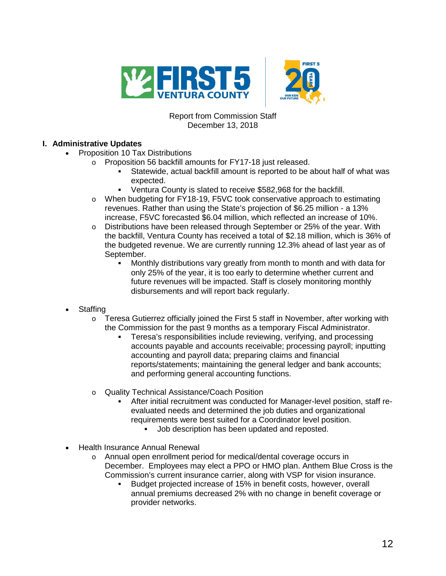

## Report from Commission Staff December 13, 2018

# **I. Administrative Updates**

- Proposition 10 Tax Distributions
	- o Proposition 56 backfill amounts for FY17-18 just released.
		- Statewide, actual backfill amount is reported to be about half of what was expected.
		- Ventura County is slated to receive \$582,968 for the backfill.
		- o When budgeting for FY18-19, F5VC took conservative approach to estimating revenues. Rather than using the State's projection of \$6.25 million - a 13% increase, F5VC forecasted \$6.04 million, which reflected an increase of 10%.
		- o Distributions have been released through September or 25% of the year. With the backfill, Ventura County has received a total of \$2.18 million, which is 36% of the budgeted revenue. We are currently running 12.3% ahead of last year as of September.
			- Monthly distributions vary greatly from month to month and with data for only 25% of the year, it is too early to determine whether current and future revenues will be impacted. Staff is closely monitoring monthly disbursements and will report back regularly.
- **Staffing** 
	- $\circ$  Teresa Gutierrez officially joined the First 5 staff in November, after working with the Commission for the past 9 months as a temporary Fiscal Administrator.
		- Teresa's responsibilities include reviewing, verifying, and processing accounts payable and accounts receivable; processing payroll; inputting accounting and payroll data; preparing claims and financial reports/statements; maintaining the general ledger and bank accounts; and performing general accounting functions.
	- o Quality Technical Assistance/Coach Position
		- After initial recruitment was conducted for Manager-level position, staff reevaluated needs and determined the job duties and organizational requirements were best suited for a Coordinator level position.
			- Job description has been updated and reposted.
- Health Insurance Annual Renewal
	- o Annual open enrollment period for medical/dental coverage occurs in December. Employees may elect a PPO or HMO plan. Anthem Blue Cross is the Commission's current insurance carrier, along with VSP for vision insurance.
		- Budget projected increase of 15% in benefit costs, however, overall annual premiums decreased 2% with no change in benefit coverage or provider networks.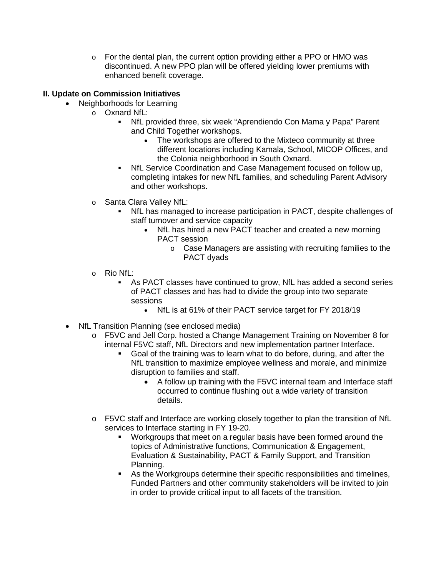$\circ$  For the dental plan, the current option providing either a PPO or HMO was discontinued. A new PPO plan will be offered yielding lower premiums with enhanced benefit coverage.

## **II. Update on Commission Initiatives**

- Neighborhoods for Learning
	- o Oxnard NfL:
		- NfL provided three, six week "Aprendiendo Con Mama y Papa" Parent and Child Together workshops.
			- The workshops are offered to the Mixteco community at three different locations including Kamala, School, MICOP Offices, and the Colonia neighborhood in South Oxnard.
		- NfL Service Coordination and Case Management focused on follow up, completing intakes for new NfL families, and scheduling Parent Advisory and other workshops.
		- o Santa Clara Valley NfL:
			- NfL has managed to increase participation in PACT, despite challenges of staff turnover and service capacity
				- NfL has hired a new PACT teacher and created a new morning PACT session
					- o Case Managers are assisting with recruiting families to the PACT dyads
		- o Rio NfL:
			- As PACT classes have continued to grow, NfL has added a second series of PACT classes and has had to divide the group into two separate sessions
				- NfL is at 61% of their PACT service target for FY 2018/19
	- NfL Transition Planning (see enclosed media)
		- o F5VC and Jell Corp. hosted a Change Management Training on November 8 for internal F5VC staff, NfL Directors and new implementation partner Interface.
			- Goal of the training was to learn what to do before, during, and after the NfL transition to maximize employee wellness and morale, and minimize disruption to families and staff.
				- A follow up training with the F5VC internal team and Interface staff occurred to continue flushing out a wide variety of transition details.
		- o F5VC staff and Interface are working closely together to plan the transition of NfL services to Interface starting in FY 19-20.
			- Workgroups that meet on a regular basis have been formed around the topics of Administrative functions, Communication & Engagement, Evaluation & Sustainability, PACT & Family Support, and Transition Planning.
			- As the Workgroups determine their specific responsibilities and timelines, Funded Partners and other community stakeholders will be invited to join in order to provide critical input to all facets of the transition.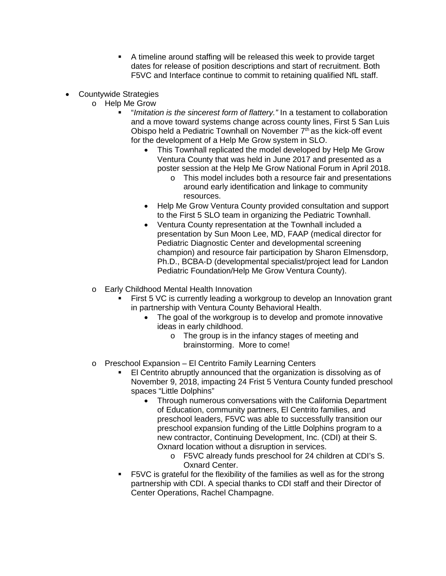- A timeline around staffing will be released this week to provide target dates for release of position descriptions and start of recruitment. Both F5VC and Interface continue to commit to retaining qualified NfL staff.
- Countywide Strategies
	- o Help Me Grow
		- "*Imitation is the sincerest form of flattery."* In a testament to collaboration and a move toward systems change across county lines, First 5 San Luis Obispo held a Pediatric Townhall on November  $7<sup>th</sup>$  as the kick-off event for the development of a Help Me Grow system in SLO.
			- This Townhall replicated the model developed by Help Me Grow Ventura County that was held in June 2017 and presented as a poster session at the Help Me Grow National Forum in April 2018.
				- o This model includes both a resource fair and presentations around early identification and linkage to community resources.
			- Help Me Grow Ventura County provided consultation and support to the First 5 SLO team in organizing the Pediatric Townhall.
			- Ventura County representation at the Townhall included a presentation by Sun Moon Lee, MD, FAAP (medical director for Pediatric Diagnostic Center and developmental screening champion) and resource fair participation by Sharon Elmensdorp, Ph.D., BCBA-D (developmental specialist/project lead for Landon Pediatric Foundation/Help Me Grow Ventura County).
	- o Early Childhood Mental Health Innovation
		- First 5 VC is currently leading a workgroup to develop an Innovation grant in partnership with Ventura County Behavioral Health.
			- The goal of the workgroup is to develop and promote innovative ideas in early childhood.
				- o The group is in the infancy stages of meeting and brainstorming. More to come!
	- o Preschool Expansion El Centrito Family Learning Centers
		- El Centrito abruptly announced that the organization is dissolving as of November 9, 2018, impacting 24 Frist 5 Ventura County funded preschool spaces "Little Dolphins"
			- Through numerous conversations with the California Department of Education, community partners, El Centrito families, and preschool leaders, F5VC was able to successfully transition our preschool expansion funding of the Little Dolphins program to a new contractor, Continuing Development, Inc. (CDI) at their S. Oxnard location without a disruption in services.
				- o F5VC already funds preschool for 24 children at CDI's S. Oxnard Center.
		- F5VC is grateful for the flexibility of the families as well as for the strong partnership with CDI. A special thanks to CDI staff and their Director of Center Operations, Rachel Champagne.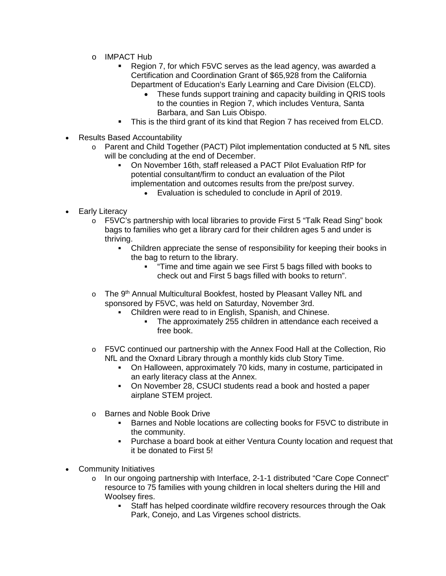- o IMPACT Hub
	- Region 7, for which F5VC serves as the lead agency, was awarded a Certification and Coordination Grant of \$65,928 from the California Department of Education's Early Learning and Care Division (ELCD).
		- These funds support training and capacity building in QRIS tools to the counties in Region 7, which includes Ventura, Santa Barbara, and San Luis Obispo.
	- This is the third grant of its kind that Region 7 has received from ELCD.
- Results Based Accountability
	- o Parent and Child Together (PACT) Pilot implementation conducted at 5 NfL sites will be concluding at the end of December.
		- On November 16th, staff released a PACT Pilot Evaluation RfP for potential consultant/firm to conduct an evaluation of the Pilot implementation and outcomes results from the pre/post survey.
			- Evaluation is scheduled to conclude in April of 2019.
- Early Literacy
	- o F5VC's partnership with local libraries to provide First 5 "Talk Read Sing" book bags to families who get a library card for their children ages 5 and under is thriving.
		- Children appreciate the sense of responsibility for keeping their books in the bag to return to the library.
			- "Time and time again we see First 5 bags filled with books to check out and First 5 bags filled with books to return".
	- $\circ$  The 9<sup>th</sup> Annual Multicultural Bookfest, hosted by Pleasant Valley NfL and sponsored by F5VC, was held on Saturday, November 3rd.
		- Children were read to in English, Spanish, and Chinese.
			- The approximately 255 children in attendance each received a free book.
	- $\circ$  F5VC continued our partnership with the Annex Food Hall at the Collection, Rio NfL and the Oxnard Library through a monthly kids club Story Time.
		- On Halloween, approximately 70 kids, many in costume, participated in an early literacy class at the Annex.
		- On November 28, CSUCI students read a book and hosted a paper airplane STEM project.
	- o Barnes and Noble Book Drive
		- Barnes and Noble locations are collecting books for F5VC to distribute in the community.
		- Purchase a board book at either Ventura County location and request that it be donated to First 5!
- Community Initiatives
	- o In our ongoing partnership with Interface, 2-1-1 distributed "Care Cope Connect" resource to 75 families with young children in local shelters during the Hill and Woolsey fires.
		- Staff has helped coordinate wildfire recovery resources through the Oak Park, Conejo, and Las Virgenes school districts.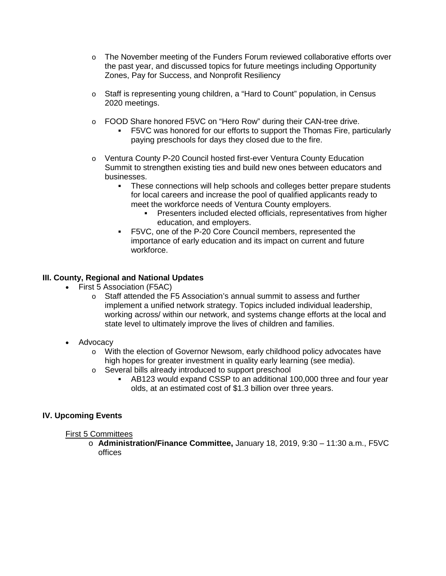- $\circ$  The November meeting of the Funders Forum reviewed collaborative efforts over the past year, and discussed topics for future meetings including Opportunity Zones, Pay for Success, and Nonprofit Resiliency
- o Staff is representing young children, a "Hard to Count" population, in Census 2020 meetings.
- o FOOD Share honored F5VC on "Hero Row" during their CAN-tree drive.
	- F5VC was honored for our efforts to support the Thomas Fire, particularly paying preschools for days they closed due to the fire.
- o Ventura County P-20 Council hosted first-ever Ventura County Education Summit to strengthen existing ties and build new ones between educators and businesses.
	- These connections will help schools and colleges better prepare students for local careers and increase the pool of qualified applicants ready to meet the workforce needs of Ventura County employers.
		- **Presenters included elected officials, representatives from higher** education, and employers.
	- F5VC, one of the P-20 Core Council members, represented the importance of early education and its impact on current and future workforce.

## **III. County, Regional and National Updates**

- First 5 Association (F5AC)
	- o Staff attended the F5 Association's annual summit to assess and further implement a unified network strategy. Topics included individual leadership, working across/ within our network, and systems change efforts at the local and state level to ultimately improve the lives of children and families.
- Advocacy
	- o With the election of Governor Newsom, early childhood policy advocates have high hopes for greater investment in quality early learning (see media).
	- o Several bills already introduced to support preschool
		- AB123 would expand CSSP to an additional 100,000 three and four year olds, at an estimated cost of \$1.3 billion over three years.

# **IV. Upcoming Events**

### First 5 Committees

o **Administration/Finance Committee,** January 18, 2019, 9:30 – 11:30 a.m., F5VC offices